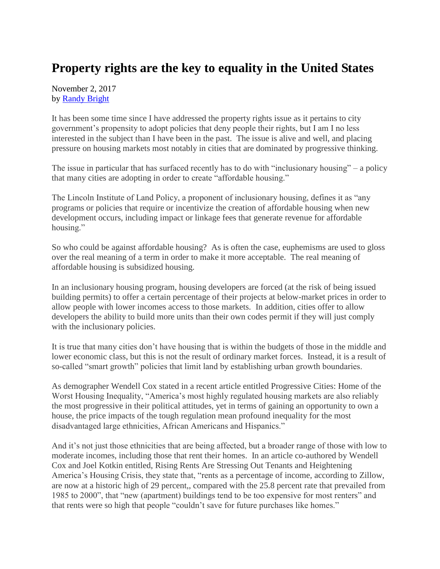## **Property rights are the key to equality in the United States**

November 2, 2017 by [Randy Bright](http://tulsabeacon.com/writers/randy-bright/)

It has been some time since I have addressed the property rights issue as it pertains to city government's propensity to adopt policies that deny people their rights, but I am I no less interested in the subject than I have been in the past. The issue is alive and well, and placing pressure on housing markets most notably in cities that are dominated by progressive thinking.

The issue in particular that has surfaced recently has to do with "inclusionary housing" – a policy that many cities are adopting in order to create "affordable housing."

The Lincoln Institute of Land Policy, a proponent of inclusionary housing, defines it as "any programs or policies that require or incentivize the creation of affordable housing when new development occurs, including impact or linkage fees that generate revenue for affordable housing."

So who could be against affordable housing? As is often the case, euphemisms are used to gloss over the real meaning of a term in order to make it more acceptable. The real meaning of affordable housing is subsidized housing.

In an inclusionary housing program, housing developers are forced (at the risk of being issued building permits) to offer a certain percentage of their projects at below-market prices in order to allow people with lower incomes access to those markets. In addition, cities offer to allow developers the ability to build more units than their own codes permit if they will just comply with the inclusionary policies.

It is true that many cities don't have housing that is within the budgets of those in the middle and lower economic class, but this is not the result of ordinary market forces. Instead, it is a result of so-called "smart growth" policies that limit land by establishing urban growth boundaries.

As demographer Wendell Cox stated in a recent article entitled Progressive Cities: Home of the Worst Housing Inequality, "America's most highly regulated housing markets are also reliably the most progressive in their political attitudes, yet in terms of gaining an opportunity to own a house, the price impacts of the tough regulation mean profound inequality for the most disadvantaged large ethnicities, African Americans and Hispanics."

And it's not just those ethnicities that are being affected, but a broader range of those with low to moderate incomes, including those that rent their homes. In an article co-authored by Wendell Cox and Joel Kotkin entitled, Rising Rents Are Stressing Out Tenants and Heightening America's Housing Crisis, they state that, "rents as a percentage of income, according to Zillow, are now at a historic high of 29 percent,, compared with the 25.8 percent rate that prevailed from 1985 to 2000", that "new (apartment) buildings tend to be too expensive for most renters" and that rents were so high that people "couldn't save for future purchases like homes."